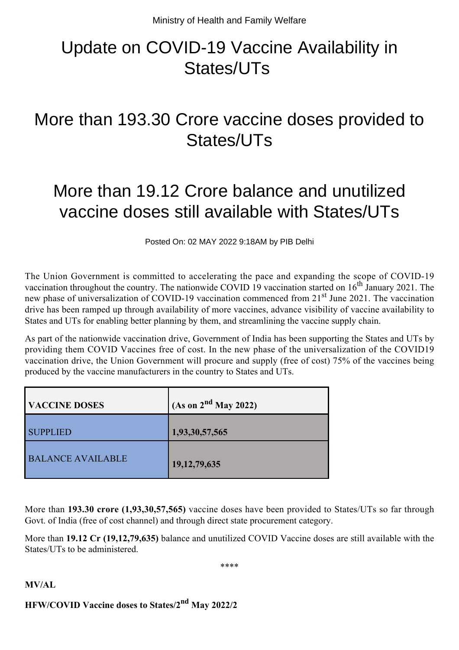# Update on COVID-19 Vaccine Availability in States/UTs

### More than 193.30 Crore vaccine doses provided to States/UTs

## More than 19.12 Crore balance and unutilized vaccine doses still available with States/UTs

Posted On: 02 MAY 2022 9:18AM by PIB Delhi

The Union Government is committed to accelerating the pace and expanding the scope of COVID-19 vaccination throughout the country. The nationwide COVID 19 vaccination started on  $16<sup>th</sup>$  January 2021. The new phase of universalization of COVID-19 vaccination commenced from 21<sup>st</sup> June 2021. The vaccination drive has been ramped up through availability of more vaccines, advance visibility of vaccine availability to States and UTs for enabling better planning by them, and streamlining the vaccine supply chain.

As part of the nationwide vaccination drive, Government of India has been supporting the States and UTs by providing them COVID Vaccines free of cost. In the new phase of the universalization of the COVID19 vaccination drive, the Union Government will procure and supply (free of cost) 75% of the vaccines being produced by the vaccine manufacturers in the country to States and UTs.

| <b>VACCINE DOSES</b>     | (As on $2nd$ May 2022) |
|--------------------------|------------------------|
| <b>SUPPLIED</b>          | 1,93,30,57,565         |
| <b>BALANCE AVAILABLE</b> | 19, 12, 79, 635        |

More than **193.30 crore (1,93,30,57,565)** vaccine doses have been provided to States/UTs so far through Govt. of India (free of cost channel) and through direct state procurement category.

More than **19.12 Cr (19,12,79,635)** balance and unutilized COVID Vaccine doses are still available with the States/UTs to be administered.

\*\*\*\*

#### **MV/AL**

#### **HFW/COVID Vaccine doses to States/2nd May 2022/2**